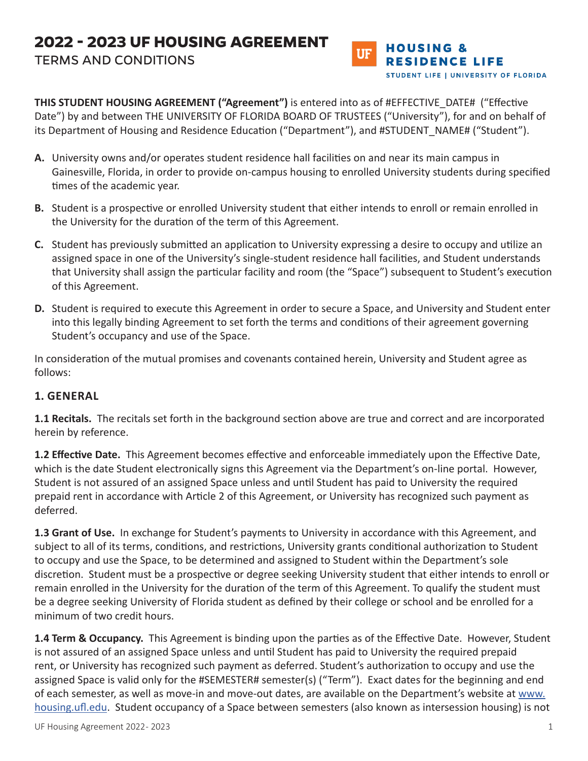# **2022 - 2023 UF HOUSING AGREEMENT** TERMS AND CONDITIONS



**THIS STUDENT HOUSING AGREEMENT ("Agreement")** is entered into as of #EFFECTIVE\_DATE# ("Effective Date") by and between THE UNIVERSITY OF FLORIDA BOARD OF TRUSTEES ("University"), for and on behalf of its Department of Housing and Residence Education ("Department"), and #STUDENT NAME# ("Student").

- **A.** University owns and/or operates student residence hall facilities on and near its main campus in Gainesville, Florida, in order to provide on-campus housing to enrolled University students during specified times of the academic year.
- **B.** Student is a prospective or enrolled University student that either intends to enroll or remain enrolled in the University for the duration of the term of this Agreement.
- **C.** Student has previously submitted an application to University expressing a desire to occupy and utilize an assigned space in one of the University's single-student residence hall facilities, and Student understands that University shall assign the particular facility and room (the "Space") subsequent to Student's execution of this Agreement.
- **D.** Student is required to execute this Agreement in order to secure a Space, and University and Student enter into this legally binding Agreement to set forth the terms and conditions of their agreement governing Student's occupancy and use of the Space.

In consideration of the mutual promises and covenants contained herein, University and Student agree as follows:

### **1. GENERAL**

**1.1 Recitals.** The recitals set forth in the background section above are true and correct and are incorporated herein by reference.

**1.2 Effective Date.** This Agreement becomes effective and enforceable immediately upon the Effective Date, which is the date Student electronically signs this Agreement via the Department's on-line portal. However, Student is not assured of an assigned Space unless and until Student has paid to University the required prepaid rent in accordance with Article 2 of this Agreement, or University has recognized such payment as deferred.

**1.3 Grant of Use.** In exchange for Student's payments to University in accordance with this Agreement, and subject to all of its terms, conditions, and restrictions, University grants conditional authorization to Student to occupy and use the Space, to be determined and assigned to Student within the Department's sole discretion. Student must be a prospective or degree seeking University student that either intends to enroll or remain enrolled in the University for the duration of the term of this Agreement. To qualify the student must be a degree seeking University of Florida student as defined by their college or school and be enrolled for a minimum of two credit hours.

**1.4 Term & Occupancy.** This Agreement is binding upon the parties as of the Effective Date. However, Student is not assured of an assigned Space unless and until Student has paid to University the required prepaid rent, or University has recognized such payment as deferred. Student's authorization to occupy and use the assigned Space is valid only for the #SEMESTER# semester(s) ("Term"). Exact dates for the beginning and end of each semester, as well as move-in and move-out dates, are available on the Department's website at www. housing.ufl.edu. Student occupancy of a Space between semesters (also known as intersession housing) is not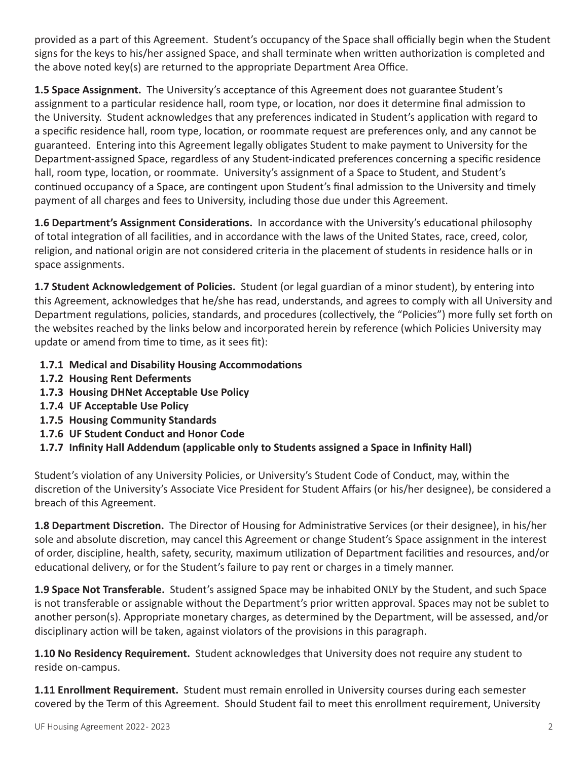provided as a part of this Agreement. Student's occupancy of the Space shall officially begin when the Student signs for the keys to his/her assigned Space, and shall terminate when written authorization is completed and the above noted key(s) are returned to the appropriate Department Area Office.

**1.5 Space Assignment.** The University's acceptance of this Agreement does not guarantee Student's assignment to a particular residence hall, room type, or location, nor does it determine final admission to the University. Student acknowledges that any preferences indicated in Student's application with regard to a specific residence hall, room type, location, or roommate request are preferences only, and any cannot be guaranteed. Entering into this Agreement legally obligates Student to make payment to University for the Department-assigned Space, regardless of any Student-indicated preferences concerning a specific residence hall, room type, location, or roommate. University's assignment of a Space to Student, and Student's continued occupancy of a Space, are contingent upon Student's final admission to the University and timely payment of all charges and fees to University, including those due under this Agreement.

**1.6 Department's Assignment Considerations.** In accordance with the University's educational philosophy of total integration of all facilities, and in accordance with the laws of the United States, race, creed, color, religion, and national origin are not considered criteria in the placement of students in residence halls or in space assignments.

**1.7 Student Acknowledgement of Policies.** Student (or legal guardian of a minor student), by entering into this Agreement, acknowledges that he/she has read, understands, and agrees to comply with all University and Department regulations, policies, standards, and procedures (collectively, the "Policies") more fully set forth on the websites reached by the links below and incorporated herein by reference (which Policies University may update or amend from time to time, as it sees fit):

- **1.7.1 Medical and Disability Housing Accommodations**
- **1.7.2 Housing Rent Deferments**
- **1.7.3 Housing DHNet Acceptable Use Policy**
- **1.7.4 UF Acceptable Use Policy**
- **1.7.5 Housing Community Standards**
- **1.7.6 UF Student Conduct and Honor Code**
- **1.7.7 Infinity Hall Addendum (applicable only to Students assigned a Space in Infinity Hall)**

Student's violation of any University Policies, or University's Student Code of Conduct, may, within the discretion of the University's Associate Vice President for Student Affairs (or his/her designee), be considered a breach of this Agreement.

**1.8 Department Discretion.** The Director of Housing for Administrative Services (or their designee), in his/her sole and absolute discretion, may cancel this Agreement or change Student's Space assignment in the interest of order, discipline, health, safety, security, maximum utilization of Department facilities and resources, and/or educational delivery, or for the Student's failure to pay rent or charges in a timely manner.

**1.9 Space Not Transferable.** Student's assigned Space may be inhabited ONLY by the Student, and such Space is not transferable or assignable without the Department's prior written approval. Spaces may not be sublet to another person(s). Appropriate monetary charges, as determined by the Department, will be assessed, and/or disciplinary action will be taken, against violators of the provisions in this paragraph.

**1.10 No Residency Requirement.** Student acknowledges that University does not require any student to reside on-campus.

**1.11 Enrollment Requirement.** Student must remain enrolled in University courses during each semester covered by the Term of this Agreement. Should Student fail to meet this enrollment requirement, University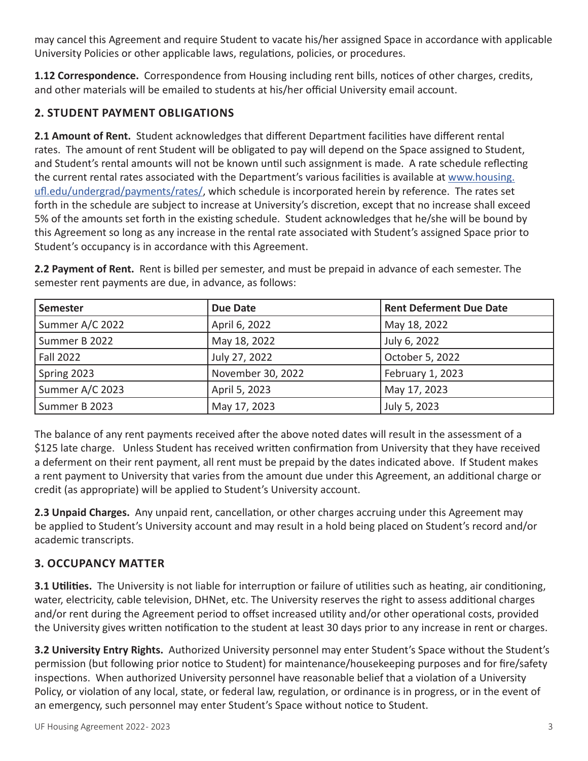may cancel this Agreement and require Student to vacate his/her assigned Space in accordance with applicable University Policies or other applicable laws, regulations, policies, or procedures.

**1.12 Correspondence.** Correspondence from Housing including rent bills, notices of other charges, credits, and other materials will be emailed to students at his/her official University email account.

## **2. STUDENT PAYMENT OBLIGATIONS**

**2.1 Amount of Rent.** Student acknowledges that different Department facilities have different rental rates. The amount of rent Student will be obligated to pay will depend on the Space assigned to Student, and Student's rental amounts will not be known until such assignment is made. A rate schedule reflecting the current rental rates associated with the Department's various facilities is available at www.housing. ufl.edu/undergrad/payments/rates/, which schedule is incorporated herein by reference. The rates set forth in the schedule are subject to increase at University's discretion, except that no increase shall exceed 5% of the amounts set forth in the existing schedule. Student acknowledges that he/she will be bound by this Agreement so long as any increase in the rental rate associated with Student's assigned Space prior to Student's occupancy is in accordance with this Agreement.

**2.2 Payment of Rent.** Rent is billed per semester, and must be prepaid in advance of each semester. The semester rent payments are due, in advance, as follows:

| Semester         | <b>Due Date</b>   | <b>Rent Deferment Due Date</b> |
|------------------|-------------------|--------------------------------|
| Summer A/C 2022  | April 6, 2022     | May 18, 2022                   |
| Summer B 2022    | May 18, 2022      | July 6, 2022                   |
| <b>Fall 2022</b> | July 27, 2022     | October 5, 2022                |
| Spring 2023      | November 30, 2022 | February 1, 2023               |
| Summer A/C 2023  | April 5, 2023     | May 17, 2023                   |
| Summer B 2023    | May 17, 2023      | July 5, 2023                   |

The balance of any rent payments received after the above noted dates will result in the assessment of a \$125 late charge. Unless Student has received written confirmation from University that they have received a deferment on their rent payment, all rent must be prepaid by the dates indicated above. If Student makes a rent payment to University that varies from the amount due under this Agreement, an additional charge or credit (as appropriate) will be applied to Student's University account.

**2.3 Unpaid Charges.** Any unpaid rent, cancellation, or other charges accruing under this Agreement may be applied to Student's University account and may result in a hold being placed on Student's record and/or academic transcripts.

# **3. OCCUPANCY MATTER**

**3.1 Utilities.** The University is not liable for interruption or failure of utilities such as heating, air conditioning, water, electricity, cable television, DHNet, etc. The University reserves the right to assess additional charges and/or rent during the Agreement period to offset increased utility and/or other operational costs, provided the University gives written notification to the student at least 30 days prior to any increase in rent or charges.

**3.2 University Entry Rights.** Authorized University personnel may enter Student's Space without the Student's permission (but following prior notice to Student) for maintenance/housekeeping purposes and for fire/safety inspections. When authorized University personnel have reasonable belief that a violation of a University Policy, or violation of any local, state, or federal law, regulation, or ordinance is in progress, or in the event of an emergency, such personnel may enter Student's Space without notice to Student.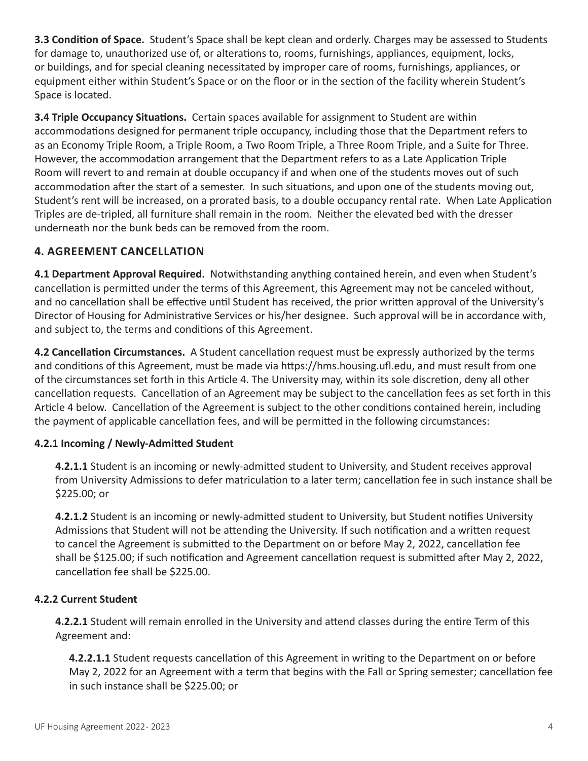**3.3 Condition of Space.** Student's Space shall be kept clean and orderly. Charges may be assessed to Students for damage to, unauthorized use of, or alterations to, rooms, furnishings, appliances, equipment, locks, or buildings, and for special cleaning necessitated by improper care of rooms, furnishings, appliances, or equipment either within Student's Space or on the floor or in the section of the facility wherein Student's Space is located.

**3.4 Triple Occupancy Situations.** Certain spaces available for assignment to Student are within accommodations designed for permanent triple occupancy, including those that the Department refers to as an Economy Triple Room, a Triple Room, a Two Room Triple, a Three Room Triple, and a Suite for Three. However, the accommodation arrangement that the Department refers to as a Late Application Triple Room will revert to and remain at double occupancy if and when one of the students moves out of such accommodation after the start of a semester. In such situations, and upon one of the students moving out, Student's rent will be increased, on a prorated basis, to a double occupancy rental rate. When Late Application Triples are de-tripled, all furniture shall remain in the room. Neither the elevated bed with the dresser underneath nor the bunk beds can be removed from the room.

### **4. AGREEMENT CANCELLATION**

**4.1 Department Approval Required.** Notwithstanding anything contained herein, and even when Student's cancellation is permitted under the terms of this Agreement, this Agreement may not be canceled without, and no cancellation shall be effective until Student has received, the prior written approval of the University's Director of Housing for Administrative Services or his/her designee. Such approval will be in accordance with, and subject to, the terms and conditions of this Agreement.

**4.2 Cancellation Circumstances.** A Student cancellation request must be expressly authorized by the terms and conditions of this Agreement, must be made via https://hms.housing.ufl.edu, and must result from one of the circumstances set forth in this Article 4. The University may, within its sole discretion, deny all other cancellation requests. Cancellation of an Agreement may be subject to the cancellation fees as set forth in this Article 4 below. Cancellation of the Agreement is subject to the other conditions contained herein, including the payment of applicable cancellation fees, and will be permitted in the following circumstances:

#### **4.2.1 Incoming / Newly-Admitted Student**

**4.2.1.1** Student is an incoming or newly-admitted student to University, and Student receives approval from University Admissions to defer matriculation to a later term; cancellation fee in such instance shall be \$225.00; or

**4.2.1.2** Student is an incoming or newly-admitted student to University, but Student notifies University Admissions that Student will not be attending the University. If such notification and a written request to cancel the Agreement is submitted to the Department on or before May 2, 2022, cancellation fee shall be \$125.00; if such notification and Agreement cancellation request is submitted after May 2, 2022, cancellation fee shall be \$225.00.

#### **4.2.2 Current Student**

**4.2.2.1** Student will remain enrolled in the University and attend classes during the entire Term of this Agreement and:

**4.2.2.1.1** Student requests cancellation of this Agreement in writing to the Department on or before May 2, 2022 for an Agreement with a term that begins with the Fall or Spring semester; cancellation fee in such instance shall be \$225.00; or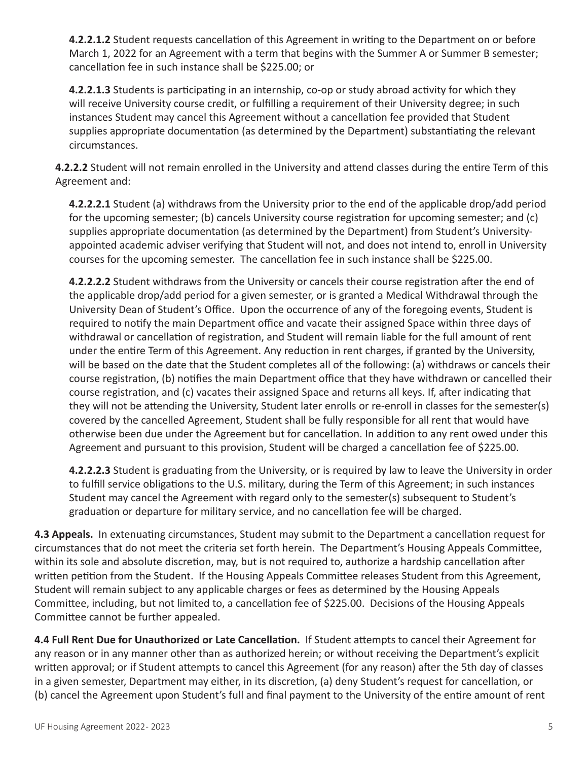**4.2.2.1.2** Student requests cancellation of this Agreement in writing to the Department on or before March 1, 2022 for an Agreement with a term that begins with the Summer A or Summer B semester; cancellation fee in such instance shall be \$225.00; or

**4.2.2.1.3** Students is participating in an internship, co-op or study abroad activity for which they will receive University course credit, or fulfilling a requirement of their University degree; in such instances Student may cancel this Agreement without a cancellation fee provided that Student supplies appropriate documentation (as determined by the Department) substantiating the relevant circumstances.

**4.2.2.2** Student will not remain enrolled in the University and attend classes during the entire Term of this Agreement and:

**4.2.2.2.1** Student (a) withdraws from the University prior to the end of the applicable drop/add period for the upcoming semester; (b) cancels University course registration for upcoming semester; and (c) supplies appropriate documentation (as determined by the Department) from Student's Universityappointed academic adviser verifying that Student will not, and does not intend to, enroll in University courses for the upcoming semester. The cancellation fee in such instance shall be \$225.00.

**4.2.2.2.2** Student withdraws from the University or cancels their course registration after the end of the applicable drop/add period for a given semester, or is granted a Medical Withdrawal through the University Dean of Student's Office. Upon the occurrence of any of the foregoing events, Student is required to notify the main Department office and vacate their assigned Space within three days of withdrawal or cancellation of registration, and Student will remain liable for the full amount of rent under the entire Term of this Agreement. Any reduction in rent charges, if granted by the University, will be based on the date that the Student completes all of the following: (a) withdraws or cancels their course registration, (b) notifies the main Department office that they have withdrawn or cancelled their course registration, and (c) vacates their assigned Space and returns all keys. If, after indicating that they will not be attending the University, Student later enrolls or re-enroll in classes for the semester(s) covered by the cancelled Agreement, Student shall be fully responsible for all rent that would have otherwise been due under the Agreement but for cancellation. In addition to any rent owed under this Agreement and pursuant to this provision, Student will be charged a cancellation fee of \$225.00.

**4.2.2.2.3** Student is graduating from the University, or is required by law to leave the University in order to fulfill service obligations to the U.S. military, during the Term of this Agreement; in such instances Student may cancel the Agreement with regard only to the semester(s) subsequent to Student's graduation or departure for military service, and no cancellation fee will be charged.

**4.3 Appeals.** In extenuating circumstances, Student may submit to the Department a cancellation request for circumstances that do not meet the criteria set forth herein. The Department's Housing Appeals Committee, within its sole and absolute discretion, may, but is not required to, authorize a hardship cancellation after written petition from the Student. If the Housing Appeals Committee releases Student from this Agreement, Student will remain subject to any applicable charges or fees as determined by the Housing Appeals Committee, including, but not limited to, a cancellation fee of \$225.00. Decisions of the Housing Appeals Committee cannot be further appealed.

**4.4 Full Rent Due for Unauthorized or Late Cancellation.** If Student attempts to cancel their Agreement for any reason or in any manner other than as authorized herein; or without receiving the Department's explicit written approval; or if Student attempts to cancel this Agreement (for any reason) after the 5th day of classes in a given semester, Department may either, in its discretion, (a) deny Student's request for cancellation, or (b) cancel the Agreement upon Student's full and final payment to the University of the entire amount of rent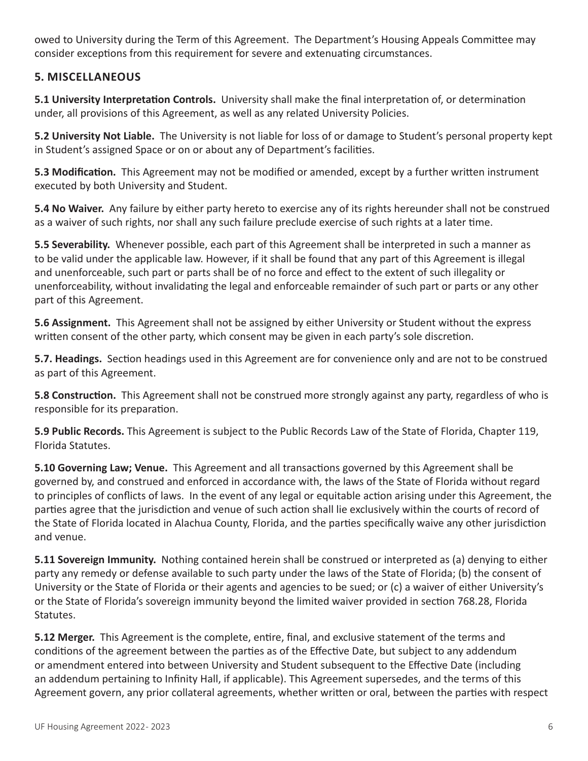owed to University during the Term of this Agreement. The Department's Housing Appeals Committee may consider exceptions from this requirement for severe and extenuating circumstances.

## **5. MISCELLANEOUS**

**5.1 University Interpretation Controls.** University shall make the final interpretation of, or determination under, all provisions of this Agreement, as well as any related University Policies.

**5.2 University Not Liable.** The University is not liable for loss of or damage to Student's personal property kept in Student's assigned Space or on or about any of Department's facilities.

**5.3 Modification.** This Agreement may not be modified or amended, except by a further written instrument executed by both University and Student.

**5.4 No Waiver.** Any failure by either party hereto to exercise any of its rights hereunder shall not be construed as a waiver of such rights, nor shall any such failure preclude exercise of such rights at a later time.

**5.5 Severability.** Whenever possible, each part of this Agreement shall be interpreted in such a manner as to be valid under the applicable law. However, if it shall be found that any part of this Agreement is illegal and unenforceable, such part or parts shall be of no force and effect to the extent of such illegality or unenforceability, without invalidating the legal and enforceable remainder of such part or parts or any other part of this Agreement.

**5.6 Assignment.** This Agreement shall not be assigned by either University or Student without the express written consent of the other party, which consent may be given in each party's sole discretion.

**5.7. Headings.** Section headings used in this Agreement are for convenience only and are not to be construed as part of this Agreement.

**5.8 Construction.** This Agreement shall not be construed more strongly against any party, regardless of who is responsible for its preparation.

**5.9 Public Records.** This Agreement is subject to the Public Records Law of the State of Florida, Chapter 119, Florida Statutes.

**5.10 Governing Law; Venue.** This Agreement and all transactions governed by this Agreement shall be governed by, and construed and enforced in accordance with, the laws of the State of Florida without regard to principles of conflicts of laws. In the event of any legal or equitable action arising under this Agreement, the parties agree that the jurisdiction and venue of such action shall lie exclusively within the courts of record of the State of Florida located in Alachua County, Florida, and the parties specifically waive any other jurisdiction and venue.

**5.11 Sovereign Immunity.** Nothing contained herein shall be construed or interpreted as (a) denying to either party any remedy or defense available to such party under the laws of the State of Florida; (b) the consent of University or the State of Florida or their agents and agencies to be sued; or (c) a waiver of either University's or the State of Florida's sovereign immunity beyond the limited waiver provided in section 768.28, Florida Statutes.

**5.12 Merger.** This Agreement is the complete, entire, final, and exclusive statement of the terms and conditions of the agreement between the parties as of the Effective Date, but subject to any addendum or amendment entered into between University and Student subsequent to the Effective Date (including an addendum pertaining to Infinity Hall, if applicable). This Agreement supersedes, and the terms of this Agreement govern, any prior collateral agreements, whether written or oral, between the parties with respect